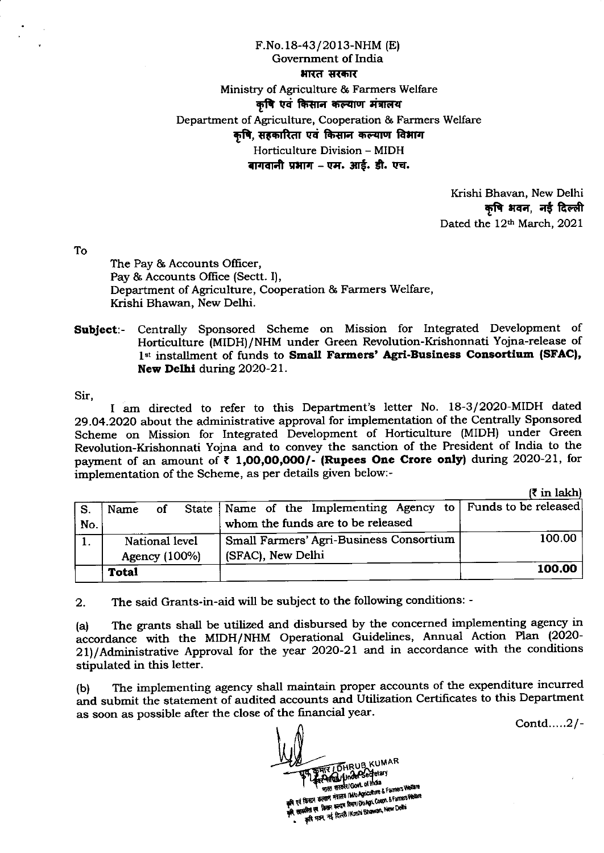## F.No. 18-43/20 l3-NHM (E) Government of India भारत सरकार Ministry of Agriculture & Farmers Welfare कृषि एवं किसान कल्याण मंत्रालय Department of Agriculture, Cooperation & Farmers Welfare कषि, सहकारिता एवं किसान कल्याण विभाग Horticulture Division - MIDH बागवानी प्रभाग – एम. आई. डी. एच.

Krishi Bhavan, New Delhi कृषि भवन, नई दिल्ली Dated the 12th March, 2021

To

The Pay & Accounts Officer, Pay & Accounts Office (Sectt. I), Department of Agriculture, Cooperation & Farmers Welfare, Krishi Bhawan, New Delhi.

## Subject:- Centrally Sponsored Scheme on Mission for Integrated Development of Horticulture (MIDH)/NHM under Green Revolution-Krishonnati Yojna-release of 1st installment of funds to Small Farmers' Agri-Business Consortium (SFAC), New Delhl during 2O2O-21.

Sir,

I am directed to refer to this Department's letter No. 18-3/2020-MIDH dated 29.O4.2O2O about the administrative approval for implementation of the Centrally Sponsored Scheme on Mission for Integrated Development of Horticulture (MIDH) under Green Revolution-Krishonnati Yojna and to convey the sanction of the President of India to the payment of an amount of  $\bar{\tau}$  1,00,00,000/- (Rupees One Crore only) during 2020-21, for implementation of the Scheme, as per details given below:-

 $(F \text{ in } \text{labh})$ 

|     |                |  |                                                                   | $\overline{\phantom{a}}$ at $\overline{\phantom{a}}$ |
|-----|----------------|--|-------------------------------------------------------------------|------------------------------------------------------|
| S.  | Name<br>of     |  | State   Name of the Implementing Agency to   Funds to be released |                                                      |
| No. |                |  | whom the funds are to be released                                 |                                                      |
|     | National level |  | Small Farmers' Agri-Business Consortium                           | 100.00                                               |
|     | Agency (100%)  |  | (SFAC), New Delhi                                                 |                                                      |
|     | <b>Total</b>   |  |                                                                   | 100.00                                               |

2. The said Grants-in-aid will be subject to the following conditions: -

(a) The grants shall be utilized and disbursed by the concerned implementing agency in accordance with the MIDH/NHM Operational Guidelines, Annual Action Plan (2020-2l)/Administrative Approval for the year 2O2O-21 and in accordance with the conditions stipulated in this letter.

(b) The inplementing agency shall maintain proper accounts of the expenditure incurred and submit the statement of audited accounts and Utilization Certificates to this Department as soon as possible after the close of the financial year.

Contd,.....2/-

THRUB KUMAR **SURE REGIST GOVE OF INCES** Farmers Wellan  $66$  and  $650$ spect area (Bowl. of Inone)<br>|<br>| Hard the Month of Com er Parties Weller die tr 1919 is 1948 secon fanni 100 April Company (1988)<br>sie examine se farme (2 Reed) Kristis Bhawan, New Delhi<br>e of the start red Reed) Kristis Bhawan, New Delhi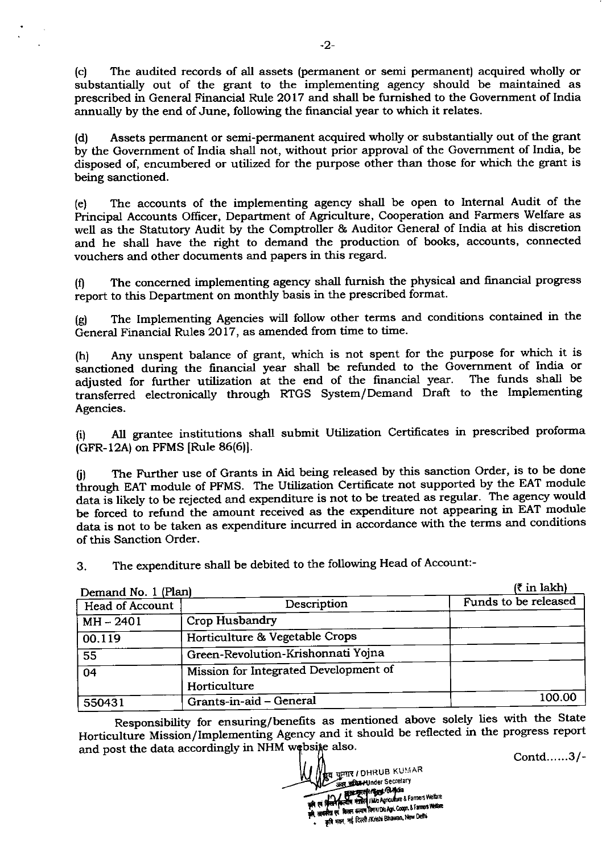(c) The audited records of all assets (permanent or semi permanent) acquired wholly or substantially out of the grant to the implementing agency should be maintained as prescribed in General Financial Rule 2017 and shall be fumished to the Government of India annually by the end of June, following the financial year to which it relates.

(d) Assets permanent or semi-permanent acquired wholly or substantially out of the grant by the Govemment of India shall not, without prior approval of the Govemment of India, be disposed of, encumbered or utilized for the purpose other than those for which the grant is being sanctioned.

(e) The accounts of the implementing agency shall be open to Internal Audit of the Principal Accounts Officer, Department of Agriculture, Cooperation and Farmers Welfare as well as the Statutory Audit by the Comptroller & Auditor General of India at his discretion and he shall have the right to demand the production of books, accounts, connected vouchers and other documents and papers in this regard.

(0 The concerned implementing agency shall furnish the physical and frnancial Progress report to this Department on monthly basis in the prescribed format.

(g) The Implementing Agencies will follow other terms and conditions contained in the General Financial Rules 2017, as amended from time to time.

(h) Any unspent balance of grant, which is not spent for the purpose for which it is sanctioned during the financial year shall be refunded to the Government of India or adjusted for further utilization at the end of the financial year. The funds shall be adjusted for further utilization at the end of the financial year. transferred electronically through RTGS System/Demand Draft to the Implementing Agencies.

(! AII grantee institutions shall submit Utilization Certificates in prescribed proforma  $(GFR-12A)$  on PFMS [Rule 86(6)].

(j) The Further use of Grants in Aid being released by this sanction Order, is to be done through EAT module of PFMS. The Utilization Certificate not supported by the EAT module data is likely to be rejected and expenditure is not to be treated as regular. The agency would be forced to refund the amount received as the expenditure not appearing in EAT module data is not to be taken as expenditure incurred in accordance with the terms and conditions of this Sanction Order.

3. The expenditure shall be debited to the following Head of Account:-

| Demand No. 1 (Plan)    | $(3 \in \mathbb{R}^2)$                                |                      |  |
|------------------------|-------------------------------------------------------|----------------------|--|
| <b>Head of Account</b> | Description                                           | Funds to be released |  |
| $MH - 2401$            | <b>Crop Husbandry</b>                                 |                      |  |
| 00.119                 | Horticulture & Vegetable Crops                        |                      |  |
| 55                     | Green-Revolution-Krishonnati Yojna                    |                      |  |
| $\overline{04}$        | Mission for Integrated Development of<br>Horticulture |                      |  |
| 550431                 | Grants-in-aid - General                               | 100.00               |  |

Responsibility for ensuring/benefits as mentioned above solely lies with the State Horticulture Mission/Implementing Agency and it should be reflected in the progress report and post the data accordingly in NHM websije also

Contd......3/-

-2-

।<br>**|हु**व कुमार / DHRUB KUMAR **Secretary**<br>Secretary **le Strange of the Paris of Advised Commerce Section** r is a procession of the left of the form of the last violence of the last violence f ti 1r कृषि मतन, नई दिल्ली /Krishi Bhawan, New Delhi